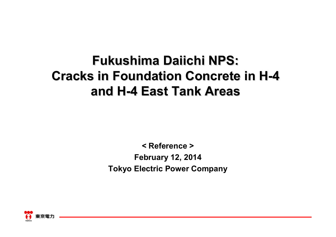## **Fukushima Daiichi NPS: Cracks in Foundation Concrete in H-4 and H-4 East Tank Areas East Tank Areas**

**< Reference >February 12, 2014 Tokyo Electric Power Company**

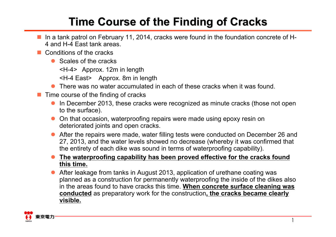## **Time Course of the Finding of Cracks Time Course of the Finding of Cracks**

- In a tank patrol on February 11, 2014, cracks were found in the foundation concrete of H-4 and H-4 East tank areas.
- Conditions of the cracks
	- Scales of the cracks
		- <H-4> Approx. 12m in length
		- <H-4 East> Approx. 8m in length
	- There was no water accumulated in each of these cracks when it was found.
- $\Box$  Time course of the finding of cracks
	- In December 2013, these cracks were recognized as minute cracks (those not open to the surface).
	- On that occasion, waterproofing repairs were made using epoxy resin on deteriorated joints and open cracks.
	- $\bullet$  After the repairs were made, water filling tests were conducted on December 26 and 27, 2013, and the water levels showed no decrease (whereby it was confirmed that the entirety of each dike was sound in terms of waterproofing capability).
	- $\bullet$  **The waterproofing capability has been proved effective for the cracks found this time.**
	- $\bullet$  After leakage from tanks in August 2013, application of urethane coating was planned as a construction for permanently waterproofing the inside of the dikes also in the areas found to have cracks this time. **When concrete surface cleaning was conducted** as preparatory work for the construction**, the cracks became clearly visible.**

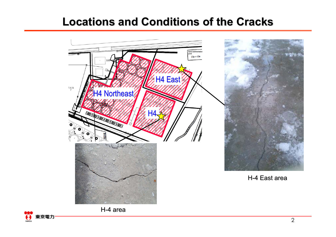## **Locations and Conditions of the Cracks Locations and Conditions of the Cracks**